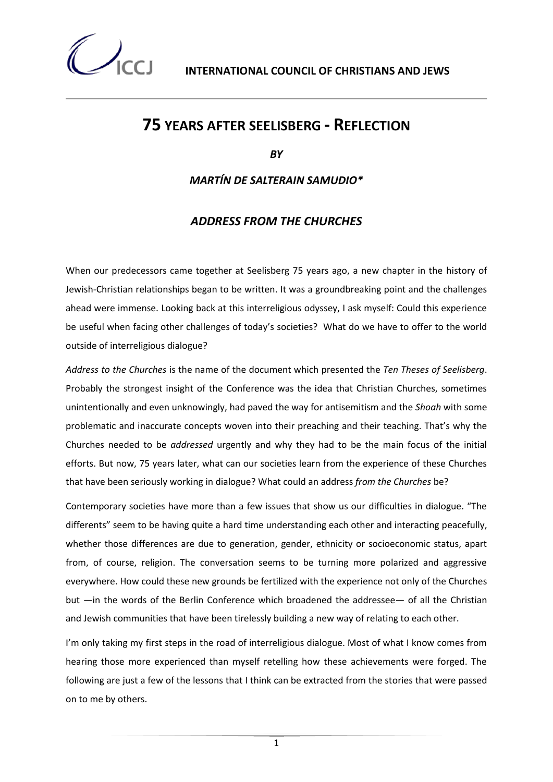**INTERNATIONAL COUNCIL OF CHRISTIANS AND JEWS** 

## **75 YEARS AFTER SEELISBERG - REFLECTION**

*BY* 

*MARTÍN DE SALTERAIN SAMUDIO\**

### *ADDRESS FROM THE CHURCHES*

When our predecessors came together at Seelisberg 75 years ago, a new chapter in the history of Jewish-Christian relationships began to be written. It was a groundbreaking point and the challenges ahead were immense. Looking back at this interreligious odyssey, I ask myself: Could this experience be useful when facing other challenges of today's societies? What do we have to offer to the world outside of interreligious dialogue?

*Address to the Churches* is the name of the document which presented the *Ten Theses of Seelisberg*. Probably the strongest insight of the Conference was the idea that Christian Churches, sometimes unintentionally and even unknowingly, had paved the way for antisemitism and the *Shoah* with some problematic and inaccurate concepts woven into their preaching and their teaching. That's why the Churches needed to be *addressed* urgently and why they had to be the main focus of the initial efforts. But now, 75 years later, what can our societies learn from the experience of these Churches that have been seriously working in dialogue? What could an address *from the Churches* be?

Contemporary societies have more than a few issues that show us our difficulties in dialogue. "The differents" seem to be having quite a hard time understanding each other and interacting peacefully, whether those differences are due to generation, gender, ethnicity or socioeconomic status, apart from, of course, religion. The conversation seems to be turning more polarized and aggressive everywhere. How could these new grounds be fertilized with the experience not only of the Churches but —in the words of the Berlin Conference which broadened the addressee— of all the Christian and Jewish communities that have been tirelessly building a new way of relating to each other.

I'm only taking my first steps in the road of interreligious dialogue. Most of what I know comes from hearing those more experienced than myself retelling how these achievements were forged. The following are just a few of the lessons that I think can be extracted from the stories that were passed on to me by others.

1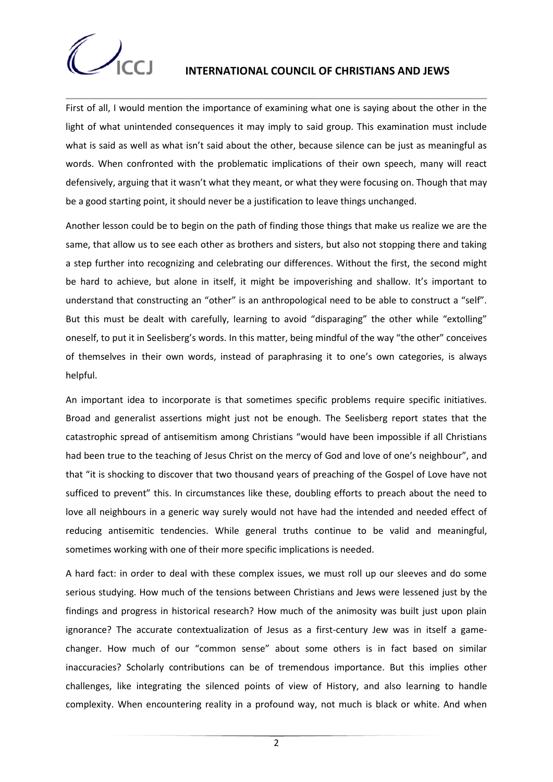

First of all, I would mention the importance of examining what one is saying about the other in the light of what unintended consequences it may imply to said group. This examination must include what is said as well as what isn't said about the other, because silence can be just as meaningful as words. When confronted with the problematic implications of their own speech, many will react defensively, arguing that it wasn't what they meant, or what they were focusing on. Though that may be a good starting point, it should never be a justification to leave things unchanged.

Another lesson could be to begin on the path of finding those things that make us realize we are the same, that allow us to see each other as brothers and sisters, but also not stopping there and taking a step further into recognizing and celebrating our differences. Without the first, the second might be hard to achieve, but alone in itself, it might be impoverishing and shallow. It's important to understand that constructing an "other" is an anthropological need to be able to construct a "self". But this must be dealt with carefully, learning to avoid "disparaging" the other while "extolling" oneself, to put it in Seelisberg's words. In this matter, being mindful of the way "the other" conceives of themselves in their own words, instead of paraphrasing it to one's own categories, is always helpful.

An important idea to incorporate is that sometimes specific problems require specific initiatives. Broad and generalist assertions might just not be enough. The Seelisberg report states that the catastrophic spread of antisemitism among Christians "would have been impossible if all Christians had been true to the teaching of Jesus Christ on the mercy of God and love of one's neighbour", and that "it is shocking to discover that two thousand years of preaching of the Gospel of Love have not sufficed to prevent" this. In circumstances like these, doubling efforts to preach about the need to love all neighbours in a generic way surely would not have had the intended and needed effect of reducing antisemitic tendencies. While general truths continue to be valid and meaningful, sometimes working with one of their more specific implications is needed.

A hard fact: in order to deal with these complex issues, we must roll up our sleeves and do some serious studying. How much of the tensions between Christians and Jews were lessened just by the findings and progress in historical research? How much of the animosity was built just upon plain ignorance? The accurate contextualization of Jesus as a first-century Jew was in itself a gamechanger. How much of our "common sense" about some others is in fact based on similar inaccuracies? Scholarly contributions can be of tremendous importance. But this implies other challenges, like integrating the silenced points of view of History, and also learning to handle complexity. When encountering reality in a profound way, not much is black or white. And when